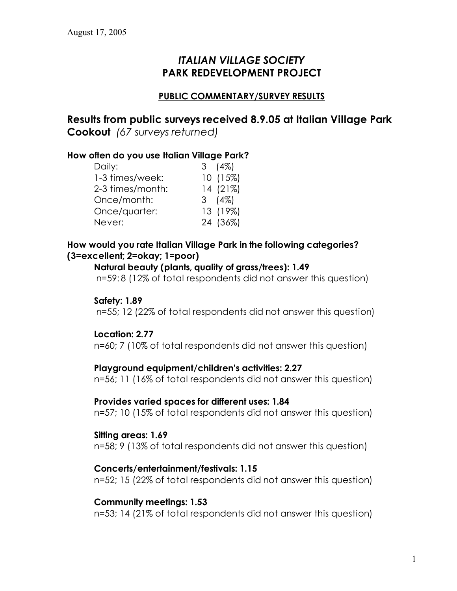# *ITALIAN VILLAGE SOCIETY* **PARK REDEVELOPMENT PROJECT**

# **PUBLIC COMMENTARY/SURVEY RESULTS**

**Results from public surveys received 8.9.05 at Italian Village Park Cookout** *(67 surveys returned)*

# **How often do you use Italian Village Park?**

| $3(4\%)$ |
|----------|
| 10(15%)  |
| 14 (21%) |
| 3 (4%)   |
| 13 (19%) |
| 24 (36%) |
|          |

# **How would you rate Italian Village Park in the following categories? (3=excellent; 2=okay; 1=poor)**

#### **Natural beauty (plants, quality of grass/trees): 1.49**

n=59: 8 (12% of total respondents did not answer this question)

### **Safety: 1.89**

n=55; 12 (22% of total respondents did not answer this question)

#### **Location: 2.77**

n=60; 7 (10% of total respondents did not answer this question)

#### **Playground equipment/children's activities: 2.27**

n=56; 11 (16% of total respondents did not answer this question)

#### **Provides varied spaces for different uses: 1.84**

n=57; 10 (15% of total respondents did not answer this question)

#### **Sitting areas: 1.69**

n=58; 9 (13% of total respondents did not answer this question)

#### **Concerts/entertainment/festivals: 1.15**

n=52; 15 (22% of total respondents did not answer this question)

#### **Community meetings: 1.53**

n=53; 14 (21% of total respondents did not answer this question)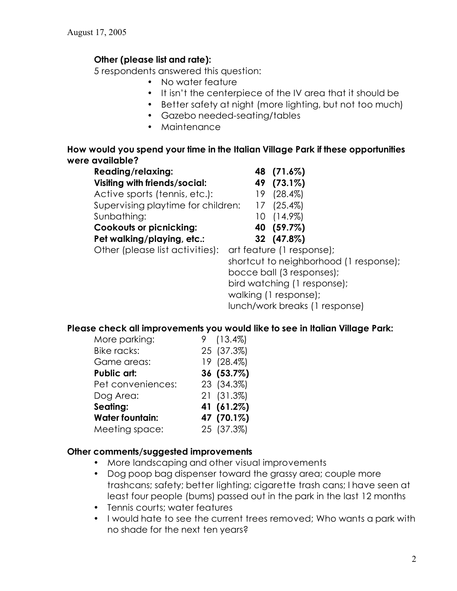# **Other (please list and rate):**

5 respondents answered this question:

- No water feature
- It isn't the centerpiece of the IV area that it should be
- Better safety at night (more lighting, but not too much)
- Gazebo needed-seating/tables
- Maintenance

### **How would you spend your time in the Italian Village Park if these opportunities were available?**

| <b>Reading/relaxing:</b>             | 48 (71.6%)                |                                      |
|--------------------------------------|---------------------------|--------------------------------------|
| <b>Visiting with friends/social:</b> | 49 (73.1%)                |                                      |
| Active sports (tennis, etc.):        | $19(28.4\%)$              |                                      |
| Supervising playtime for children:   | $17(25.4\%)$              |                                      |
| Sunbathing:                          | $10(14.9\%)$              |                                      |
| <b>Cookouts or picnicking:</b>       | 40 (59.7%)                |                                      |
| Pet walking/playing, etc.:           | 32 (47.8%)                |                                      |
| Other (please list activities):      | art feature (1 response); |                                      |
|                                      |                           | shortcut to neighborhood (1 response |

shortcut to neighborhood (1 response); bocce ball (3 responses); bird watching (1 response); walking (1 response); lunch/work breaks (1 response)

# **Please check all improvements you would like to see in Italian Village Park:**

| More parking:          | $9(13.4\%)$ |
|------------------------|-------------|
| <b>Bike racks:</b>     | 25 (37.3%)  |
| Game areas:            | 19 (28.4%)  |
| Public art:            | 36 (53.7%)  |
| Pet conveniences:      | 23 (34.3%)  |
| Dog Area:              | 21 (31.3%)  |
| Seating:               | 41 (61.2%)  |
| <b>Water fountain:</b> | 47 (70.1%)  |
| Meeting space:         | 25 (37.3%)  |

#### **Other comments/suggested improvements**

- More landscaping and other visual improvements
- Dog poop bag dispenser toward the grassy area; couple more trashcans; safety; better lighting; cigarette trash cans; I have seen at least four people (bums) passed out in the park in the last 12 months
- Tennis courts; water features
- I would hate to see the current trees removed; Who wants a park with no shade for the next ten years?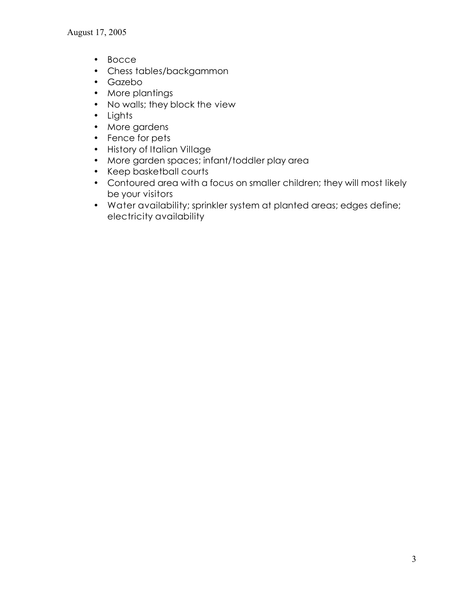- Bocce
- Chess tables/backgammon
- Gazebo
- More plantings
- No walls; they block the view
- Lights
- More gardens
- Fence for pets
- History of Italian Village
- More garden spaces; infant/toddler play area
- Keep basketball courts
- Contoured area with a focus on smaller children; they will most likely be your visitors
- Water availability; sprinkler system at planted areas; edges define; electricity availability